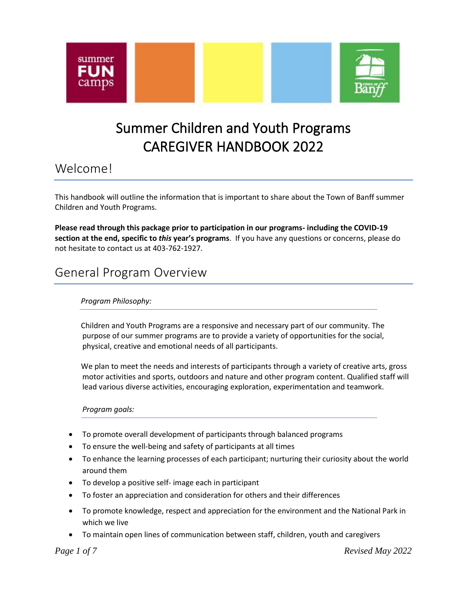



## Summer Children and Youth Programs CAREGIVER HANDBOOK 2022

## Welcome!

This handbook will outline the information that is important to share about the Town of Banff summer Children and Youth Programs.

**Please read through this package prior to participation in our programs- including the COVID-19 section at the end, specific to** *this* **year's programs**. If you have any questions or concerns, please do not hesitate to contact us at 403-762-1927.

## General Program Overview

#### *Program Philosophy:*

Children and Youth Programs are a responsive and necessary part of our community. The purpose of our summer programs are to provide a variety of opportunities for the social, physical, creative and emotional needs of all participants.

We plan to meet the needs and interests of participants through a variety of creative arts, gross motor activities and sports, outdoors and nature and other program content. Qualified staff will lead various diverse activities, encouraging exploration, experimentation and teamwork.

#### *Program goals:*

- To promote overall development of participants through balanced programs
- To ensure the well-being and safety of participants at all times
- To enhance the learning processes of each participant; nurturing their curiosity about the world around them
- To develop a positive self- image each in participant
- To foster an appreciation and consideration for others and their differences
- To promote knowledge, respect and appreciation for the environment and the National Park in which we live
- To maintain open lines of communication between staff, children, youth and caregivers

*Page 1 of 7 Revised May 2022*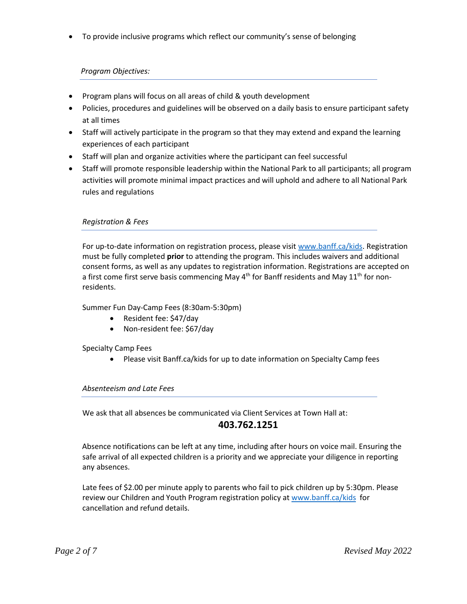• To provide inclusive programs which reflect our community's sense of belonging

#### *Program Objectives:*

- Program plans will focus on all areas of child & youth development
- Policies, procedures and guidelines will be observed on a daily basis to ensure participant safety at all times
- Staff will actively participate in the program so that they may extend and expand the learning experiences of each participant
- Staff will plan and organize activities where the participant can feel successful
- Staff will promote responsible leadership within the National Park to all participants; all program activities will promote minimal impact practices and will uphold and adhere to all National Park rules and regulations

#### *Registration & Fees*

For up-to-date information on registration process, please visit [www.banff.ca/kids.](http://www.banff.ca/kids) Registration must be fully completed **prior** to attending the program. This includes waivers and additional consent forms, as well as any updates to registration information. Registrations are accepted on a first come first serve basis commencing May  $4<sup>th</sup>$  for Banff residents and May  $11<sup>th</sup>$  for nonresidents.

Summer Fun Day-Camp Fees (8:30am-5:30pm)

- Resident fee: \$47/day
- Non-resident fee: \$67/day

Specialty Camp Fees

• Please visit Banff.ca/kids for up to date information on Specialty Camp fees

#### *Absenteeism and Late Fees*

We ask that all absences be communicated via Client Services at Town Hall at:

#### **403.762.1251**

Absence notifications can be left at any time, including after hours on voice mail. Ensuring the safe arrival of all expected children is a priority and we appreciate your diligence in reporting any absences.

Late fees of \$2.00 per minute apply to parents who fail to pick children up by 5:30pm. Please review our Children and Youth Program registration policy at [www.banff.ca/kids](http://www.banff.ca/kids) for cancellation and refund details.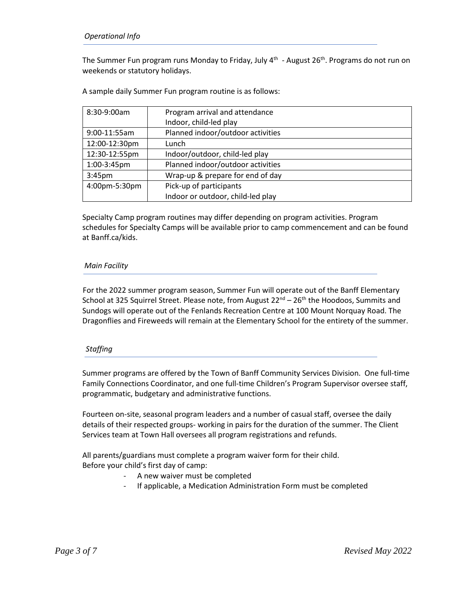The Summer Fun program runs Monday to Friday, July 4<sup>th</sup> - August 26<sup>th</sup>. Programs do not run on weekends or statutory holidays.

A sample daily Summer Fun program routine is as follows:

| 8:30-9:00am        | Program arrival and attendance    |
|--------------------|-----------------------------------|
|                    | Indoor, child-led play            |
| 9:00-11:55am       | Planned indoor/outdoor activities |
| 12:00-12:30pm      | Lunch                             |
| 12:30-12:55pm      | Indoor/outdoor, child-led play    |
| 1:00-3:45pm        | Planned indoor/outdoor activities |
| 3:45 <sub>pm</sub> | Wrap-up & prepare for end of day  |
| 4:00pm-5:30pm      | Pick-up of participants           |
|                    | Indoor or outdoor, child-led play |

Specialty Camp program routines may differ depending on program activities. Program schedules for Specialty Camps will be available prior to camp commencement and can be found at Banff.ca/kids.

#### *Main Facility*

 For the 2022 summer program season, Summer Fun will operate out of the Banff Elementary School at 325 Squirrel Street. Please note, from August 22<sup>nd</sup> – 26<sup>th</sup> the Hoodoos, Summits and Sundogs will operate out of the Fenlands Recreation Centre at 100 Mount Norquay Road. The Dragonflies and Fireweeds will remain at the Elementary School for the entirety of the summer.

#### *Staffing*

Summer programs are offered by the Town of Banff Community Services Division. One full-time Family Connections Coordinator, and one full-time Children's Program Supervisor oversee staff, programmatic, budgetary and administrative functions.

Fourteen on-site, seasonal program leaders and a number of casual staff, oversee the daily details of their respected groups- working in pairs for the duration of the summer. The Client Services team at Town Hall oversees all program registrations and refunds.

All parents/guardians must complete a program waiver form for their child. Before your child's first day of camp:

- A new waiver must be completed
- If applicable, a Medication Administration Form must be completed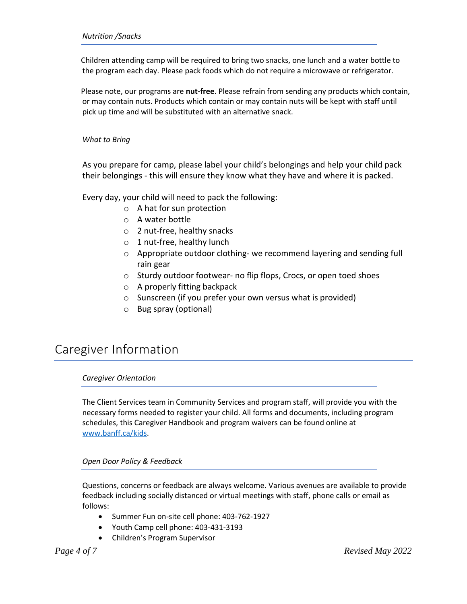Children attending camp will be required to bring two snacks, one lunch and a water bottle to the program each day. Please pack foods which do not require a microwave or refrigerator.

Please note, our programs are **nut-free**. Please refrain from sending any products which contain, or may contain nuts. Products which contain or may contain nuts will be kept with staff until pick up time and will be substituted with an alternative snack.

*What to Bring*

As you prepare for camp, please label your child's belongings and help your child pack their belongings - this will ensure they know what they have and where it is packed.

Every day, your child will need to pack the following:

- o A hat for sun protection
- o A water bottle
- o 2 nut-free, healthy snacks
- $\circ$  1 nut-free, healthy lunch
- o Appropriate outdoor clothing- we recommend layering and sending full rain gear
- o Sturdy outdoor footwear- no flip flops, Crocs, or open toed shoes
- o A properly fitting backpack
- o Sunscreen (if you prefer your own versus what is provided)
- o Bug spray (optional)

## Caregiver Information

#### *Caregiver Orientation*

The Client Services team in Community Services and program staff, will provide you with the necessary forms needed to register your child. All forms and documents, including program schedules, this Caregiver Handbook and program waivers can be found online at [www.banff.ca/kids.](http://www.banff.ca/kids)

#### *Open Door Policy & Feedback*

Questions, concerns or feedback are always welcome. Various avenues are available to provide feedback including socially distanced or virtual meetings with staff, phone calls or email as follows:

- Summer Fun on-site cell phone: 403-762-1927
- Youth Camp cell phone: 403-431-3193
- Children's Program Supervisor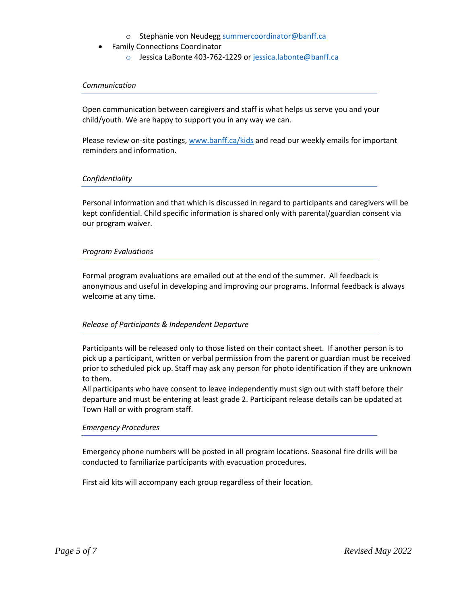- o Stephanie von Neudegg [summercoordinator@banff.ca](mailto:summercoordinator@banff.ca)
- Family Connections Coordinator
	- o Jessica LaBonte 403-762-1229 o[r jessica.labonte@banff.ca](mailto:jessica.labonte@banff.ca)

#### *Communication*

Open communication between caregivers and staff is what helps us serve you and your child/youth. We are happy to support you in any way we can.

Please review on-site postings, [www.banff.ca/kids](http://www.banff.ca/kids) and read our weekly emails for important reminders and information.

#### *Confidentiality*

Personal information and that which is discussed in regard to participants and caregivers will be kept confidential. Child specific information is shared only with parental/guardian consent via our program waiver.

#### *Program Evaluations*

Formal program evaluations are emailed out at the end of the summer. All feedback is anonymous and useful in developing and improving our programs. Informal feedback is always welcome at any time.

#### *Release of Participants & Independent Departure*

Participants will be released only to those listed on their contact sheet. If another person is to pick up a participant, written or verbal permission from the parent or guardian must be received prior to scheduled pick up. Staff may ask any person for photo identification if they are unknown to them.

All participants who have consent to leave independently must sign out with staff before their departure and must be entering at least grade 2. Participant release details can be updated at Town Hall or with program staff.

#### *Emergency Procedures*

Emergency phone numbers will be posted in all program locations. Seasonal fire drills will be conducted to familiarize participants with evacuation procedures.

First aid kits will accompany each group regardless of their location.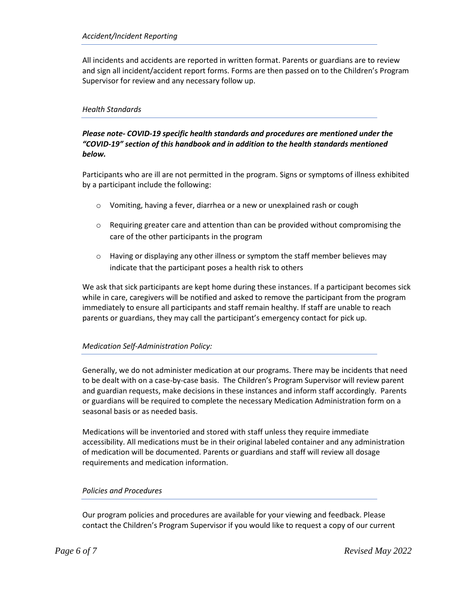All incidents and accidents are reported in written format. Parents or guardians are to review and sign all incident/accident report forms. Forms are then passed on to the Children's Program Supervisor for review and any necessary follow up.

#### *Health Standards*

#### *Please note- COVID-19 specific health standards and procedures are mentioned under the "COVID-19" section of this handbook and in addition to the health standards mentioned below.*

Participants who are ill are not permitted in the program. Signs or symptoms of illness exhibited by a participant include the following:

- o Vomiting, having a fever, diarrhea or a new or unexplained rash or cough
- $\circ$  Requiring greater care and attention than can be provided without compromising the care of the other participants in the program
- $\circ$  Having or displaying any other illness or symptom the staff member believes may indicate that the participant poses a health risk to others

We ask that sick participants are kept home during these instances. If a participant becomes sick while in care, caregivers will be notified and asked to remove the participant from the program immediately to ensure all participants and staff remain healthy. If staff are unable to reach parents or guardians, they may call the participant's emergency contact for pick up.

#### *Medication Self-Administration Policy:*

Generally, we do not administer medication at our programs. There may be incidents that need to be dealt with on a case-by-case basis. The Children's Program Supervisor will review parent and guardian requests, make decisions in these instances and inform staff accordingly. Parents or guardians will be required to complete the necessary Medication Administration form on a seasonal basis or as needed basis.

Medications will be inventoried and stored with staff unless they require immediate accessibility. All medications must be in their original labeled container and any administration of medication will be documented. Parents or guardians and staff will review all dosage requirements and medication information.

#### *Policies and Procedures*

Our program policies and procedures are available for your viewing and feedback. Please contact the Children's Program Supervisor if you would like to request a copy of our current

*Page 6 of 7 Revised May 2022*